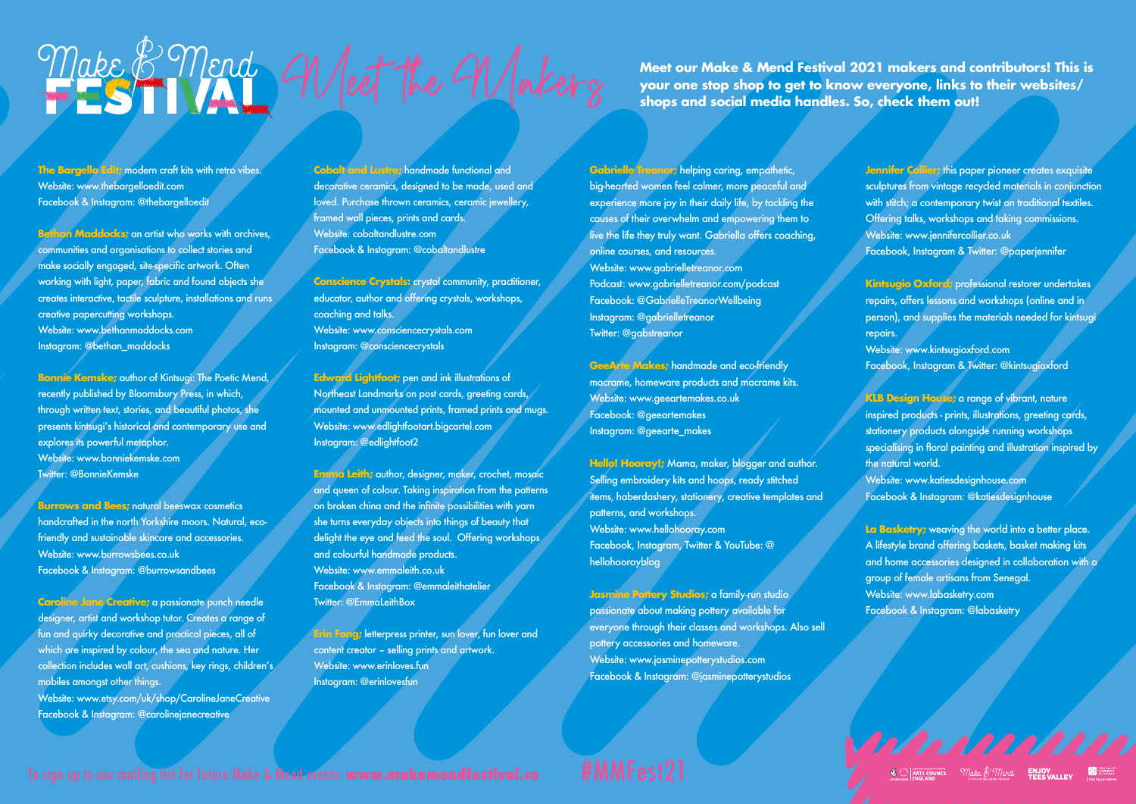## Make Comment of Ment the Maker our Make & Mend Festival 2021 makers and contributors! This is<br> **Maker our Maker of the Maker of the shops** and social media handles. So, check them out!

**The Bargello Edit;** modern craft kits with retro vibes. Website: www.thebargelloedit.com Facebook & Instagram: @thebargelloedit

**Bethan Maddocks;** an artist who works with archives, communities and organisations to collect stories and make socially engaged, site-specific artwork. Often working with light, paper, fabric and found objects she creates interactive, tactile sculpture, installations and runs creative papercutting workshops. Website: www.bethanmaddocks.com Instagram: @bethan\_maddocks

**Bonnie Kemske;** author of Kintsugi: The Poetic Mend, recently published by Bloomsbury Press, in which, through written text, stories, and beautiful photos, she presents kintsugi's historical and contemporary use and explores its powerful metaphor. Website: www.bonniekemske.com Twitter: @BonnieKemske

**Burrows and Bees: natural beeswax cosmetics** handcrafted in the north Yorkshire moors. Natural, ecofriendly and sustainable skincare and accessories. Website: www.burrowsbees.co.uk Facebook & Instagram: @burrowsandbees

**Caroline Jane Creative;** a passionate punch needle designer, artist and workshop tutor. Creates a range of fun and quirky decorative and practical pieces, all of which are inspired by colour, the sea and nature. Her collection includes wall art, cushions, key rings, children's mobiles amonast other things. Website: www.etsy.com/uk/shop/CarolineJaneCreative Facebook & Instagram: @carolinejanecreative

**Cobalt and Lustre;** handmade functional and decorative ceramics, designed to be made, used and loved. Purchase thrown ceramics, ceramic jewellery, framed wall pieces, prints and cards. Website: cobaltandlustre.com Facebook & Instagram: @cobaltandlustre

**Conscience Crystals:** crystal community, practitioner, educator, author and offering crystals, workshops, coaching and talks. Website: www.consciencecrystals.com Instagram: @consciencecrystals

**Edward Lightfoot;** pen and ink illustrations of Northeast Landmarks on post cards, greeting cards, mounted and unmounted prints, framed prints and mugs. Website: www.edlightfootart.bigcartel.com Instagram: @edlightfoot2

**Emma Leith;** author, designer, maker, crochet, mosaic and queen of colour. Taking inspiration from the patterns on broken china and the infinite possibilities with yarn she turns everyday objects into things of beauty that delight the eye and feed the soul. Offering workshops and colourful handmade products. Website: www.emmaleith.co.uk Facebook & Instagram: @emmaleithatelier Twitter: @EmmaLeithBox

**Erin Fong;** letterpress printer, sun lover, fun lover and content creator – selling prints and artwork. Website: www.erinloves.fun Instagram: @erinlovesfun

**your one stop shop to get to know everyone, links to their websites/ shops and social media handles. So, check them out!** 

**Gabrielle Treanor; helping caring, empathetic,** big-hearted women feel calmer, more peaceful and experience more joy in their daily life, by tackling the causes of their overwhelm and empowering them to live the life they truly want. Gabriella offers coaching, online courses, and resources. Website: www.gabrielletreanor.com Podcast: www.gabrielletreanor.com/podcast Facebook: @GabrielleTreanorWellbeing Instagram: @gabrielletreanor Twitter: @gabstreanor

**GeeArte Makes;** handmade and eco-friendly macrame, homeware products and macrame kits. Website: www.geeartemakes.co.uk Facebook: @geeartemakes Instagram: @geearte\_makes

**Hello! Hooray!;** Mama, maker, blogger and author. Selling embroidery kits and hoops, ready stitched items, haberdashery, stationery, creative templates and patterns, and workshops. Website: www.hellohooray.com Facebook, Instagram, Twitter & YouTube: @ hellohoorayblog

**Jasmine Pottery Studios; a family-run studio** passionate about making pottery available for everyone through their classes and workshops. Also sell pottery accessories and homeware. Website: www.jasminepotterystudios.com Facebook & Instagram: @jasminepotterystudios

**Jennifer Collier;** this paper pioneer creates exquisite sculptures from vintage recycled materials in conjunction with stitch; a contemporary twist on traditional textiles. Offering talks, workshops and taking commissions. Website: www.jennifercollier.co.uk Facebook, Instagram & Twitter: @paperjennifer

**Kintsugio Oxford;** professional restorer undertakes repairs, offers lessons and workshops (online and in person), and supplies the materials needed for kintsugi repairs. Website: www.kintsugioxford.com Facebook, Instagram & Twitter: @kintsugioxford

**KLB Design House;** a range of vibrant, nature inspired products - prints, illustrations, greeting cards, stationery products alongside running workshops specialising in floral painting and illustration inspired by the natural world. Website: www.katiesdesignhouse.com Facebook & Instagram: @katiesdesignhouse

**La Basketry;** weaving the world into a better place. A lifestyle brand offering baskets, basket making kits and home accessories designed in collaboration with a group of female artisans from Senegal. Website: www.labasketry.com Facebook & Instagram: @labasketry

11/11/11/11/11  $\mathcal{L}$  **ARTS COUNCIL** *Make*  $\beta$  *Mend* **FILOY** 

## To sign up to our mailing list for future Make & Mend events: www.makemendfestival.co #MMFeSt2<sup>1</sup>